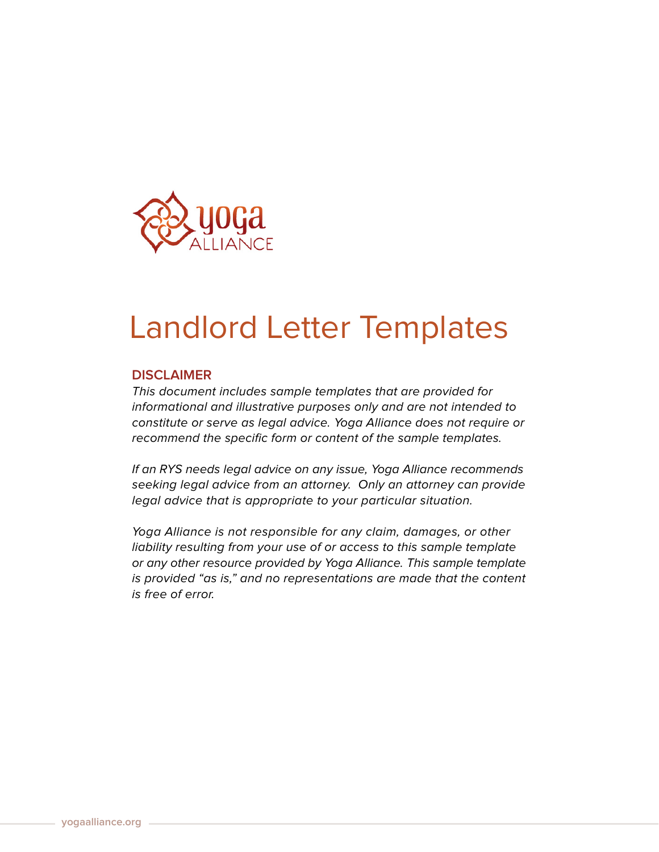

## Landlord Letter Templates

## **DISCLAIMER**

This document includes sample templates that are provided for informational and illustrative purposes only and are not intended to constitute or serve as legal advice. Yoga Alliance does not require or recommend the specific form or content of the sample templates.

If an RYS needs legal advice on any issue, Yoga Alliance recommends seeking legal advice from an attorney. Only an attorney can provide legal advice that is appropriate to your particular situation.

Yoga Alliance is not responsible for any claim, damages, or other liability resulting from your use of or access to this sample template or any other resource provided by Yoga Alliance. This sample template is provided "as is," and no representations are made that the content is free of error.